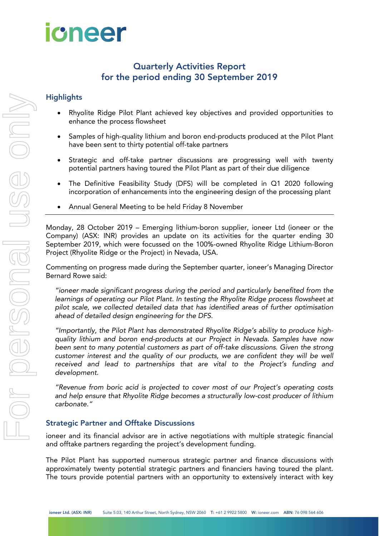

# Quarterly Activities Report for the period ending 30 September 2019

## **Highlights**

- Rhyolite Ridge Pilot Plant achieved key objectives and provided opportunities to enhance the process flowsheet
- Samples of high-quality lithium and boron end-products produced at the Pilot Plant have been sent to thirty potential off-take partners
- Strategic and off-take partner discussions are progressing well with twenty potential partners having toured the Pilot Plant as part of their due diligence
- The Definitive Feasibility Study (DFS) will be completed in Q1 2020 following incorporation of enhancements into the engineering design of the processing plant
- Annual General Meeting to be held Friday 8 November

Monday, 28 October 2019 – Emerging lithium-boron supplier, ioneer Ltd (ioneer or the Company) (ASX: INR) provides an update on its activities for the quarter ending 30 September 2019, which were focussed on the 100%-owned Rhyolite Ridge Lithium-Boron Project (Rhyolite Ridge or the Project) in Nevada, USA.

Commenting on progress made during the September quarter, ioneer's Managing Director Bernard Rowe said:

*"ioneer made significant progress during the period and particularly benefited from the learnings of operating our Pilot Plant. In testing the Rhyolite Ridge process flowsheet at pilot scale, we collected detailed data that has identified areas of further optimisation ahead of detailed design engineering for the DFS*.

*"Importantly, the Pilot Plant has demonstrated Rhyolite Ridge's ability to produce highquality lithium and boron end-products at our Project in Nevada. Samples have now been sent to many potential customers as part of off-take discussions. Given the strong customer interest and the quality of our products, we are confident they will be well received and lead to partnerships that are vital to the Project's funding and development.*

*"Revenue from boric acid is projected to cover most of our Project's operating costs and help ensure that Rhyolite Ridge becomes a structurally low-cost producer of lithium carbonate."*

#### Strategic Partner and Offtake Discussions

ioneer and its financial advisor are in active negotiations with multiple strategic financial and offtake partners regarding the project's development funding.

The Pilot Plant has supported numerous strategic partner and finance discussions with approximately twenty potential strategic partners and financiers having toured the plant. The tours provide potential partners with an opportunity to extensively interact with key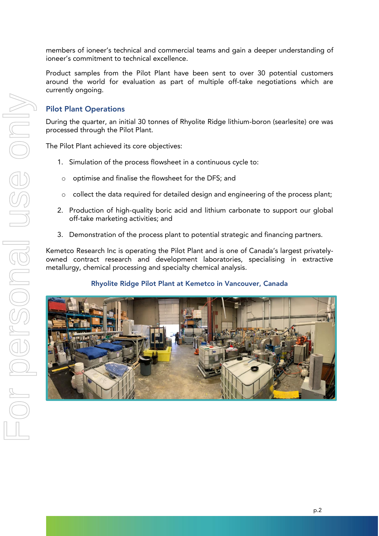members of ioneer's technical and commercial teams and gain a deeper understanding of ioneer's commitment to technical excellence.

Product samples from the Pilot Plant have been sent to over 30 potential customers around the world for evaluation as part of multiple off-take negotiations which are currently ongoing.

#### Pilot Plant Operations

During the quarter, an initial 30 tonnes of Rhyolite Ridge lithium-boron (searlesite) ore was processed through the Pilot Plant.

The Pilot Plant achieved its core objectives:

- 1. Simulation of the process flowsheet in a continuous cycle to:
	- o optimise and finalise the flowsheet for the DFS; and
	- o collect the data required for detailed design and engineering of the process plant;
- 2. Production of high-quality boric acid and lithium carbonate to support our global off-take marketing activities; and
- 3. Demonstration of the process plant to potential strategic and financing partners.

Kemetco Research Inc is operating the Pilot Plant and is one of Canada's largest privatelyowned contract research and development laboratories, specialising in extractive metallurgy, chemical processing and specialty chemical analysis.

#### Rhyolite Ridge Pilot Plant at Kemetco in Vancouver, Canada

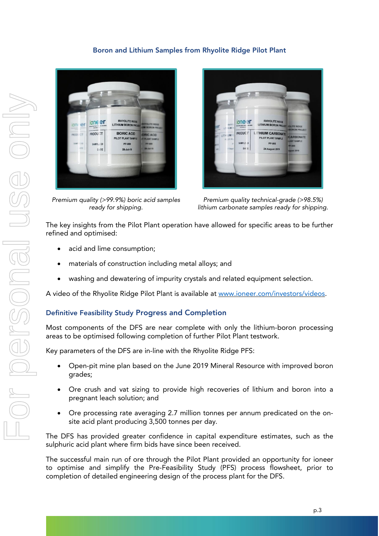#### Boron and Lithium Samples from Rhyolite Ridge Pilot Plant



*Premium quality (>99.9%) boric acid samples ready for shipping.*



*Premium quality technical-grade (>98.5%) lithium carbonate samples ready for shipping.*

The key insights from the Pilot Plant operation have allowed for specific areas to be further refined and optimised:

- acid and lime consumption;
- materials of construction including metal alloys; and
- washing and dewatering of impurity crystals and related equipment selection.

A video of the Rhyolite Ridge Pilot Plant is available at [www.ioneer.com/investors/videos.](http://www.ioneer.com/investors/videos)

#### Definitive Feasibility Study Progress and Completion

Most components of the DFS are near complete with only the lithium-boron processing areas to be optimised following completion of further Pilot Plant testwork.

Key parameters of the DFS are in-line with the Rhyolite Ridge PFS:

- Open-pit mine plan based on the June 2019 Mineral Resource with improved boron grades;
- Ore crush and vat sizing to provide high recoveries of lithium and boron into a pregnant leach solution; and
- Ore processing rate averaging 2.7 million tonnes per annum predicated on the onsite acid plant producing 3,500 tonnes per day.

The DFS has provided greater confidence in capital expenditure estimates, such as the sulphuric acid plant where firm bids have since been received.

The successful main run of ore through the Pilot Plant provided an opportunity for ioneer to optimise and simplify the Pre-Feasibility Study (PFS) process flowsheet, prior to completion of detailed engineering design of the process plant for the DFS.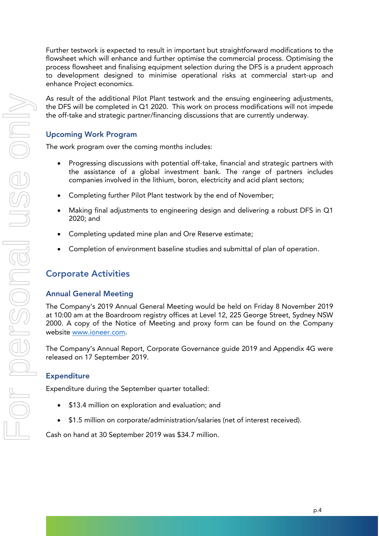Further testwork is expected to result in important but straightforward modifications to the flowsheet which will enhance and further optimise the commercial process. Optimising the process flowsheet and finalising equipment selection during the DFS is a prudent approach to development designed to minimise operational risks at commercial start-up and enhance Project economics.

As result of the additional Pilot Plant testwork and the ensuing engineering adjustments, the DFS will be completed in Q1 2020. This work on process modifications will not impede the off-take and strategic partner/financing discussions that are currently underway.

#### Upcoming Work Program

The work program over the coming months includes:

- Progressing discussions with potential off-take, financial and strategic partners with the assistance of a global investment bank. The range of partners includes companies involved in the lithium, boron, electricity and acid plant sectors;
- Completing further Pilot Plant testwork by the end of November;
- Making final adjustments to engineering design and delivering a robust DFS in Q1 2020; and
- Completing updated mine plan and Ore Reserve estimate;
- Completion of environment baseline studies and submittal of plan of operation.

# Corporate Activities

#### Annual General Meeting

The Company's 2019 Annual General Meeting would be held on Friday 8 November 2019 at 10:00 am at the Boardroom registry offices at Level 12, 225 George Street, Sydney NSW 2000. A copy of the Notice of Meeting and proxy form can be found on the Company website [www.ioneer.com](http://www.ioneer.com/).

The Company's Annual Report, Corporate Governance guide 2019 and Appendix 4G were released on 17 September 2019.

#### Expenditure

Expenditure during the September quarter totalled:

- \$13.4 million on exploration and evaluation; and
- \$1.5 million on corporate/administration/salaries (net of interest received).

Cash on hand at 30 September 2019 was \$34.7 million.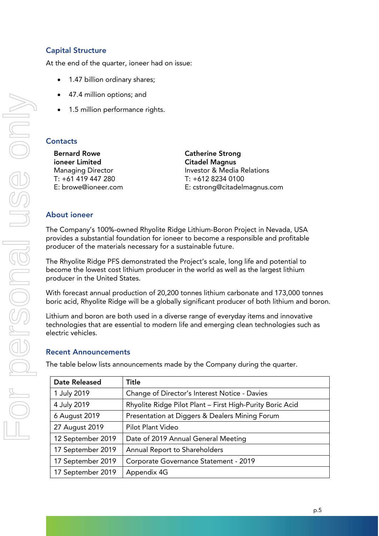### Capital Structure

At the end of the quarter, ioneer had on issue:

- 1.47 billion ordinary shares;
- 47.4 million options; and
- 1.5 million performance rights.

#### **Contacts**

Bernard Rowe **Catherine Strong** ioneer Limited Citadel Magnus T: +61 419 447 280 T: +612 8234 0100

Managing Director **Investor & Media Relations** E: browe@ioneer.com E: cstrong@citadelmagnus.com

#### About ioneer

The Company's 100%-owned Rhyolite Ridge Lithium-Boron Project in Nevada, USA provides a substantial foundation for ioneer to become a responsible and profitable producer of the materials necessary for a sustainable future.

The Rhyolite Ridge PFS demonstrated the Project's scale, long life and potential to become the lowest cost lithium producer in the world as well as the largest lithium producer in the United States.

With forecast annual production of 20,200 tonnes lithium carbonate and 173,000 tonnes boric acid, Rhyolite Ridge will be a globally significant producer of both lithium and boron.

Lithium and boron are both used in a diverse range of everyday items and innovative technologies that are essential to modern life and emerging clean technologies such as electric vehicles.

#### Recent Announcements

The table below lists announcements made by the Company during the quarter.

| <b>Date Released</b> | <b>Title</b>                                              |  |  |  |
|----------------------|-----------------------------------------------------------|--|--|--|
| 1 July 2019          | Change of Director's Interest Notice - Davies             |  |  |  |
| 4 July 2019          | Rhyolite Ridge Pilot Plant - First High-Purity Boric Acid |  |  |  |
| 6 August 2019        | Presentation at Diggers & Dealers Mining Forum            |  |  |  |
| 27 August 2019       | Pilot Plant Video                                         |  |  |  |
| 12 September 2019    | Date of 2019 Annual General Meeting                       |  |  |  |
| 17 September 2019    | Annual Report to Shareholders                             |  |  |  |
| 17 September 2019    | Corporate Governance Statement - 2019                     |  |  |  |
| 17 September 2019    | Appendix 4G                                               |  |  |  |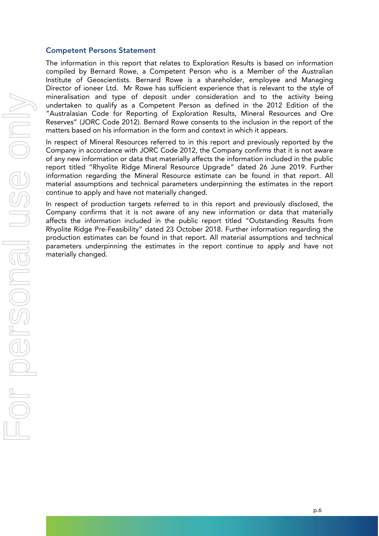#### Competent Persons Statement

The information in this report that relates to Exploration Results is based on information compiled by Bernard Rowe, a Competent Person who is a Member of the Australian Institute of Geoscientists. Bernard Rowe is a shareholder, employee and Managing Director of ioneer Ltd. Mr Rowe has sufficient experience that is relevant to the style of mineralisation and type of deposit under consideration and to the activity being undertaken to qualify as a Competent Person as defined in the 2012 Edition of the "Australasian Code for Reporting of Exploration Results, Mineral Resources and Ore Reserves" (JORC Code 2012). Bernard Rowe consents to the inclusion in the report of the matters based on his information in the form and context in which it appears.

In respect of Mineral Resources referred to in this report and previously reported by the Company in accordance with JORC Code 2012, the Company confirms that it is not aware of any new information or data that materially affects the information included in the public report titled "Rhyolite Ridge Mineral Resource Upgrade" dated 26 June 2019. Further information regarding the Mineral Resource estimate can be found in that report. All material assumptions and technical parameters underpinning the estimates in the report continue to apply and have not materially changed.

In respect of production targets referred to in this report and previously disclosed, the Company confirms that it is not aware of any new information or data that materially affects the information included in the public report titled "Outstanding Results from Rhyolite Ridge Pre-Feasibility" dated 23 October 2018. Further information regarding the production estimates can be found in that report. All material assumptions and technical parameters underpinning the estimates in the report continue to apply and have not materially changed.